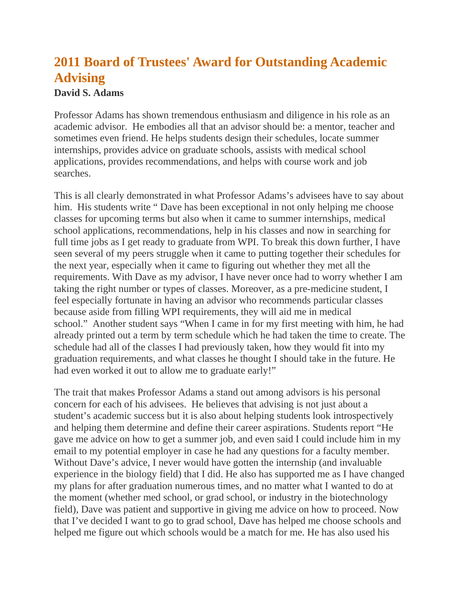## **2011 Board of Trustees' Award for Outstanding Academic Advising**

## **David S. Adams**

Professor Adams has shown tremendous enthusiasm and diligence in his role as an academic advisor. He embodies all that an advisor should be: a mentor, teacher and sometimes even friend. He helps students design their schedules, locate summer internships, provides advice on graduate schools, assists with medical school applications, provides recommendations, and helps with course work and job searches.

This is all clearly demonstrated in what Professor Adams's advisees have to say about him. His students write " Dave has been exceptional in not only helping me choose classes for upcoming terms but also when it came to summer internships, medical school applications, recommendations, help in his classes and now in searching for full time jobs as I get ready to graduate from WPI. To break this down further, I have seen several of my peers struggle when it came to putting together their schedules for the next year, especially when it came to figuring out whether they met all the requirements. With Dave as my advisor, I have never once had to worry whether I am taking the right number or types of classes. Moreover, as a pre-medicine student, I feel especially fortunate in having an advisor who recommends particular classes because aside from filling WPI requirements, they will aid me in medical school." Another student says "When I came in for my first meeting with him, he had already printed out a term by term schedule which he had taken the time to create. The schedule had all of the classes I had previously taken, how they would fit into my graduation requirements, and what classes he thought I should take in the future. He had even worked it out to allow me to graduate early!"

The trait that makes Professor Adams a stand out among advisors is his personal concern for each of his advisees. He believes that advising is not just about a student's academic success but it is also about helping students look introspectively and helping them determine and define their career aspirations. Students report "He gave me advice on how to get a summer job, and even said I could include him in my email to my potential employer in case he had any questions for a faculty member. Without Dave's advice, I never would have gotten the internship (and invaluable experience in the biology field) that I did. He also has supported me as I have changed my plans for after graduation numerous times, and no matter what I wanted to do at the moment (whether med school, or grad school, or industry in the biotechnology field), Dave was patient and supportive in giving me advice on how to proceed. Now that I've decided I want to go to grad school, Dave has helped me choose schools and helped me figure out which schools would be a match for me. He has also used his